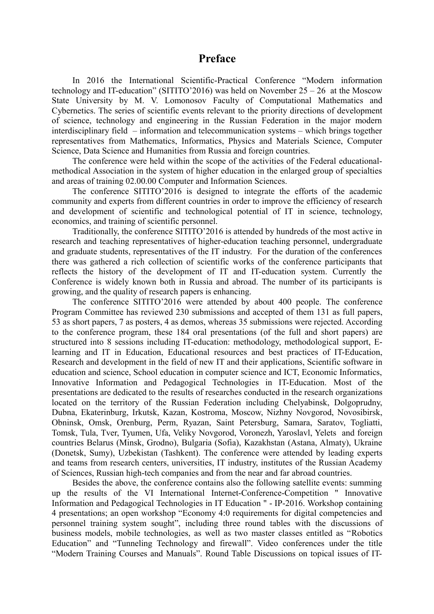## **Preface**

In 2016 the International Scientific-Practical Conference "Modern information technology and IT-education" (SITITO'2016) was held on November 25 – 26 at the Moscow State University by M. V. Lomonosov Faculty of Computational Mathematics and Cybernetics. The series of scientific events relevant to the priority directions of development of science, technology and engineering in the Russian Federation in the major modern interdisciplinary field – information and telecommunication systems – which brings together representatives from Mathematics, Informatics, Physics and Materials Science, Computer Science, Data Science and Humanities from Russia and foreign countries.

The conference were held within the scope of the activities of the Federal educationalmethodical Association in the system of higher education in the enlarged group of specialties and areas of training 02.00.00 Computer and Information Sciences.

The conference SITITO'2016 is designed to integrate the efforts of the academic community and experts from different countries in order to improve the efficiency of research and development of scientific and technological potential of IT in science, technology, economics, and training of scientific personnel.

Traditionally, the conference SITITO'2016 is attended by hundreds of the most active in research and teaching representatives of higher-education teaching personnel, undergraduate and graduate students, representatives of the IT industry. For the duration of the conferences there was gathered a rich collection of scientific works of the conference participants that reflects the history of the development of IT and IT-education system. Currently the Conference is widely known both in Russia and abroad. The number of its participants is growing, and the quality of research papers is enhancing.

The conference SITITO'2016 were attended by about 400 people. The conference Program Committee has reviewed 230 submissions and accepted of them 131 as full papers, 53 as short papers, 7 as posters, 4 as demos, whereas 35 submissions were rejected. According to the conference program, these 184 oral presentations (of the full and short papers) are structured into 8 sessions including IT-education: methodology, methodological support, Elearning and IT in Education, Educational resources and best practices of IT-Education, Research and development in the field of new IT and their applications, Scientific software in education and science, School education in computer science and ICT, Economic Informatics, Innovative Information and Pedagogical Technologies in IT-Education. Most of the presentations are dedicated to the results of researches conducted in the research organizations located on the territory of the Russian Federation including Chelyabinsk, Dolgoprudny, Dubna, Ekaterinburg, Irkutsk, Kazan, Kostroma, Moscow, Nizhny Novgorod, Novosibirsk, Obninsk, Omsk, Orenburg, Perm, Ryazan, Saint Petersburg, Samara, Saratov, Togliatti, Tomsk, Tula, Tver, Tyumen, Ufa, Veliky Novgorod, Voronezh, Yaroslavl, Yelets and foreign countries Belarus (Minsk, Grodno), Bulgaria (Sofia), Kazakhstan (Astana, Almaty), Ukraine (Donetsk, Sumy), Uzbekistan (Tashkent). The conference were attended by leading experts and teams from research centers, universities, IT industry, institutes of the Russian Academy of Sciences, Russian high-tech companies and from the near and far abroad countries.

Besides the above, the conference contains also the following satellite events: summing up the results of the VI International Internet-Conference-Competition " Innovative Information and Pedagogical Technologies in IT Education " - IP-2016. Workshop containing 4 presentations; an open workshop "Economy 4:0 requirements for digital competencies and personnel training system sought", including three round tables with the discussions of business models, mobile technologies, as well as two master classes entitled as "Robotics Education" and "Tunneling Technology and firewall". Video conferences under the title "Modern Training Courses and Manuals". Round Table Discussions on topical issues of IT-